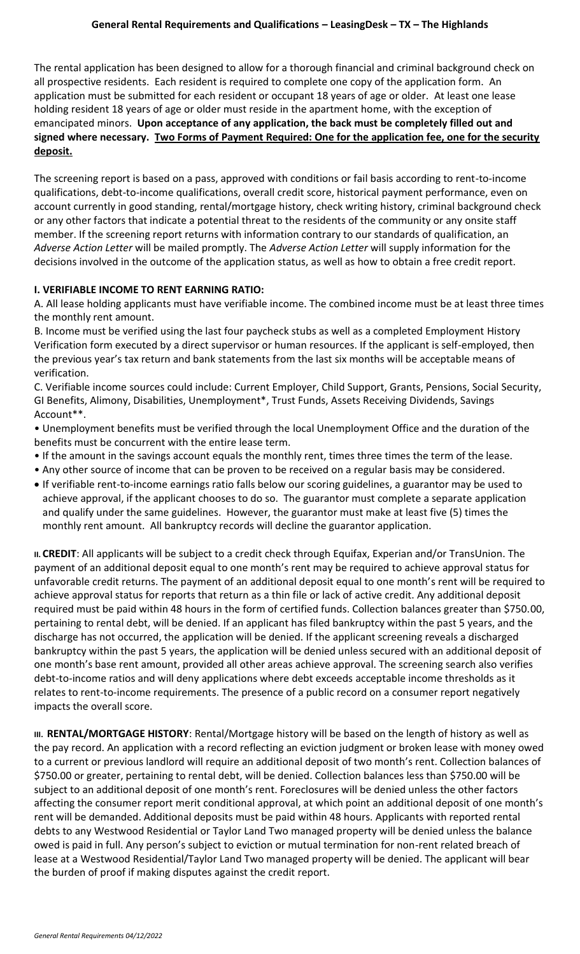The rental application has been designed to allow for a thorough financial and criminal background check on all prospective residents. Each resident is required to complete one copy of the application form. An application must be submitted for each resident or occupant 18 years of age or older. At least one lease holding resident 18 years of age or older must reside in the apartment home, with the exception of emancipated minors. **Upon acceptance of any application, the back must be completely filled out and signed where necessary. Two Forms of Payment Required: One for the application fee, one for the security deposit.**

The screening report is based on a pass, approved with conditions or fail basis according to rent-to-income qualifications, debt-to-income qualifications, overall credit score, historical payment performance, even on account currently in good standing, rental/mortgage history, check writing history, criminal background check or any other factors that indicate a potential threat to the residents of the community or any onsite staff member. If the screening report returns with information contrary to our standards of qualification, an *Adverse Action Letter* will be mailed promptly. The *Adverse Action Letter* will supply information for the decisions involved in the outcome of the application status, as well as how to obtain a free credit report.

## **I. VERIFIABLE INCOME TO RENT EARNING RATIO:**

A. All lease holding applicants must have verifiable income. The combined income must be at least three times the monthly rent amount.

B. Income must be verified using the last four paycheck stubs as well as a completed Employment History Verification form executed by a direct supervisor or human resources. If the applicant is self-employed, then the previous year's tax return and bank statements from the last six months will be acceptable means of verification.

C. Verifiable income sources could include: Current Employer, Child Support, Grants, Pensions, Social Security, GI Benefits, Alimony, Disabilities, Unemployment\*, Trust Funds, Assets Receiving Dividends, Savings Account\*\*.

• Unemployment benefits must be verified through the local Unemployment Office and the duration of the benefits must be concurrent with the entire lease term.

- If the amount in the savings account equals the monthly rent, times three times the term of the lease.
- Any other source of income that can be proven to be received on a regular basis may be considered.
- If verifiable rent-to-income earnings ratio falls below our scoring guidelines, a guarantor may be used to achieve approval, if the applicant chooses to do so. The guarantor must complete a separate application and qualify under the same guidelines. However, the guarantor must make at least five (5) times the monthly rent amount. All bankruptcy records will decline the guarantor application.

**II. CREDIT**: All applicants will be subject to a credit check through Equifax, Experian and/or TransUnion. The payment of an additional deposit equal to one month's rent may be required to achieve approval status for unfavorable credit returns. The payment of an additional deposit equal to one month's rent will be required to achieve approval status for reports that return as a thin file or lack of active credit. Any additional deposit required must be paid within 48 hours in the form of certified funds. Collection balances greater than \$750.00, pertaining to rental debt, will be denied. If an applicant has filed bankruptcy within the past 5 years, and the discharge has not occurred, the application will be denied. If the applicant screening reveals a discharged bankruptcy within the past 5 years, the application will be denied unless secured with an additional deposit of one month's base rent amount, provided all other areas achieve approval. The screening search also verifies debt-to-income ratios and will deny applications where debt exceeds acceptable income thresholds as it relates to rent-to-income requirements. The presence of a public record on a consumer report negatively impacts the overall score.

**III. RENTAL/MORTGAGE HISTORY**: Rental/Mortgage history will be based on the length of history as well as the pay record. An application with a record reflecting an eviction judgment or broken lease with money owed to a current or previous landlord will require an additional deposit of two month's rent. Collection balances of \$750.00 or greater, pertaining to rental debt, will be denied. Collection balances less than \$750.00 will be subject to an additional deposit of one month's rent. Foreclosures will be denied unless the other factors affecting the consumer report merit conditional approval, at which point an additional deposit of one month's rent will be demanded. Additional deposits must be paid within 48 hours. Applicants with reported rental debts to any Westwood Residential or Taylor Land Two managed property will be denied unless the balance owed is paid in full. Any person's subject to eviction or mutual termination for non-rent related breach of lease at a Westwood Residential/Taylor Land Two managed property will be denied. The applicant will bear the burden of proof if making disputes against the credit report.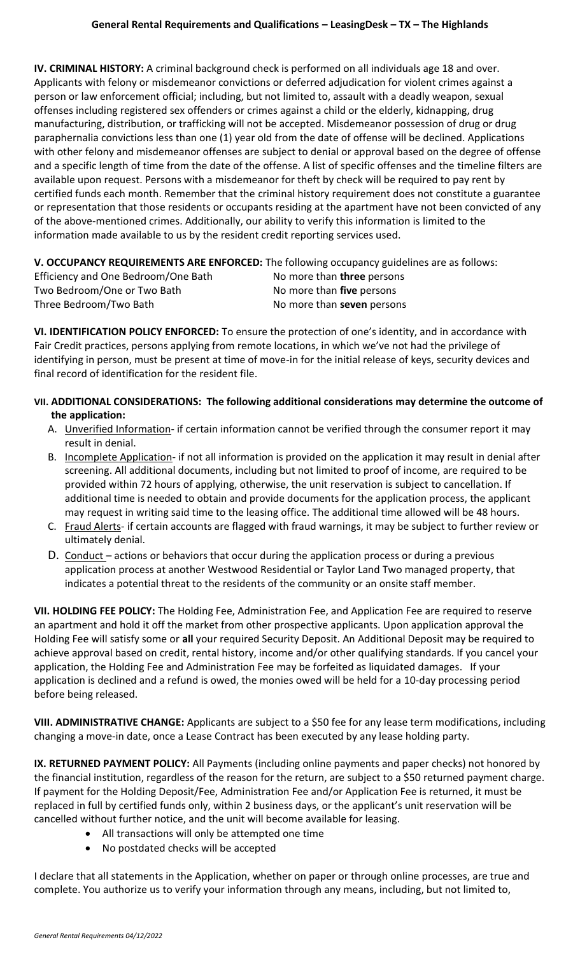**IV. CRIMINAL HISTORY:** A criminal background check is performed on all individuals age 18 and over. Applicants with felony or misdemeanor convictions or deferred adjudication for violent crimes against a person or law enforcement official; including, but not limited to, assault with a deadly weapon, sexual offenses including registered sex offenders or crimes against a child or the elderly, kidnapping, drug manufacturing, distribution, or trafficking will not be accepted. Misdemeanor possession of drug or drug paraphernalia convictions less than one (1) year old from the date of offense will be declined. Applications with other felony and misdemeanor offenses are subject to denial or approval based on the degree of offense and a specific length of time from the date of the offense. A list of specific offenses and the timeline filters are available upon request. Persons with a misdemeanor for theft by check will be required to pay rent by certified funds each month. Remember that the criminal history requirement does not constitute a guarantee or representation that those residents or occupants residing at the apartment have not been convicted of any of the above-mentioned crimes. Additionally, our ability to verify this information is limited to the information made available to us by the resident credit reporting services used.

## **V. OCCUPANCY REQUIREMENTS ARE ENFORCED:** The following occupancy guidelines are as follows:

Efficiency and One Bedroom/One Bath No more than **three** persons Two Bedroom/One or Two Bath No more than **five** persons Three Bedroom/Two Bath Nomore than **seven** persons

**VI. IDENTIFICATION POLICY ENFORCED:** To ensure the protection of one's identity, and in accordance with Fair Credit practices, persons applying from remote locations, in which we've not had the privilege of identifying in person, must be present at time of move-in for the initial release of keys, security devices and final record of identification for the resident file.

- **VII. ADDITIONAL CONSIDERATIONS: The following additional considerations may determine the outcome of the application:**
	- A. Unverified Information- if certain information cannot be verified through the consumer report it may result in denial.
	- B. Incomplete Application- if not all information is provided on the application it may result in denial after screening. All additional documents, including but not limited to proof of income, are required to be provided within 72 hours of applying, otherwise, the unit reservation is subject to cancellation. If additional time is needed to obtain and provide documents for the application process, the applicant may request in writing said time to the leasing office. The additional time allowed will be 48 hours.
	- C. Fraud Alerts- if certain accounts are flagged with fraud warnings, it may be subject to further review or ultimately denial.
	- D. Conduct actions or behaviors that occur during the application process or during a previous application process at another Westwood Residential or Taylor Land Two managed property, that indicates a potential threat to the residents of the community or an onsite staff member.

**VII. HOLDING FEE POLICY:** The Holding Fee, Administration Fee, and Application Fee are required to reserve an apartment and hold it off the market from other prospective applicants. Upon application approval the Holding Fee will satisfy some or **all** your required Security Deposit. An Additional Deposit may be required to achieve approval based on credit, rental history, income and/or other qualifying standards. If you cancel your application, the Holding Fee and Administration Fee may be forfeited as liquidated damages. If your application is declined and a refund is owed, the monies owed will be held for a 10-day processing period before being released.

**VIII. ADMINISTRATIVE CHANGE:** Applicants are subject to a \$50 fee for any lease term modifications, including changing a move-in date, once a Lease Contract has been executed by any lease holding party.

**IX. RETURNED PAYMENT POLICY:** All Payments (including online payments and paper checks) not honored by the financial institution, regardless of the reason for the return, are subject to a \$50 returned payment charge. If payment for the Holding Deposit/Fee, Administration Fee and/or Application Fee is returned, it must be replaced in full by certified funds only, within 2 business days, or the applicant's unit reservation will be cancelled without further notice, and the unit will become available for leasing.

- All transactions will only be attempted one time
- No postdated checks will be accepted

I declare that all statements in the Application, whether on paper or through online processes, are true and complete. You authorize us to verify your information through any means, including, but not limited to,